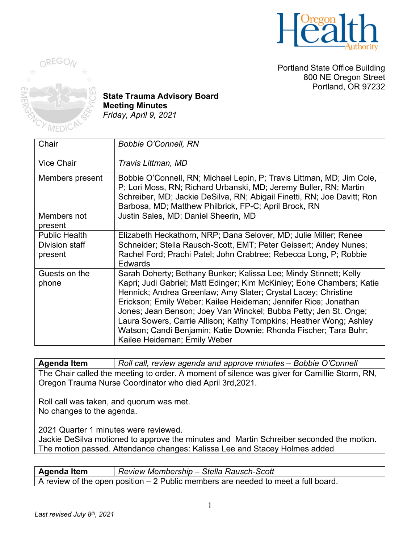

Portland State Office Building 800 NE Oregon Street Portland, OR 97232



**State Trauma Advisory Board Meeting Minutes** *Friday, April 9, 2021*

| Chair                                             | <b>Bobbie O'Connell, RN</b>                                                                                                                                                                                                                                                                                                                                                                                                                                                                                                   |
|---------------------------------------------------|-------------------------------------------------------------------------------------------------------------------------------------------------------------------------------------------------------------------------------------------------------------------------------------------------------------------------------------------------------------------------------------------------------------------------------------------------------------------------------------------------------------------------------|
| <b>Vice Chair</b>                                 | Travis Littman, MD                                                                                                                                                                                                                                                                                                                                                                                                                                                                                                            |
| Members present                                   | Bobbie O'Connell, RN; Michael Lepin, P; Travis Littman, MD; Jim Cole,<br>P; Lori Moss, RN; Richard Urbanski, MD; Jeremy Buller, RN; Martin<br>Schreiber, MD; Jackie DeSilva, RN; Abigail Finetti, RN; Joe Davitt; Ron<br>Barbosa, MD; Matthew Philbrick, FP-C; April Brock, RN                                                                                                                                                                                                                                                |
| Members not<br>present                            | Justin Sales, MD; Daniel Sheerin, MD                                                                                                                                                                                                                                                                                                                                                                                                                                                                                          |
| <b>Public Health</b><br>Division staff<br>present | Elizabeth Heckathorn, NRP; Dana Selover, MD; Julie Miller; Renee<br>Schneider; Stella Rausch-Scott, EMT; Peter Geissert; Andey Nunes;<br>Rachel Ford; Prachi Patel; John Crabtree; Rebecca Long, P; Robbie<br><b>Edwards</b>                                                                                                                                                                                                                                                                                                  |
| Guests on the<br>phone                            | Sarah Doherty; Bethany Bunker; Kalissa Lee; Mindy Stinnett; Kelly<br>Kapri; Judi Gabriel; Matt Edinger; Kim McKinley; Eohe Chambers; Katie<br>Hennick; Andrea Greenlaw; Amy Slater; Crystal Lacey; Christine<br>Erickson; Emily Weber; Kailee Heideman; Jennifer Rice; Jonathan<br>Jones; Jean Benson; Joey Van Winckel; Bubba Petty; Jen St. Onge;<br>Laura Sowers, Carrie Allison; Kathy Tompkins; Heather Wong; Ashley<br>Watson; Candi Benjamin; Katie Downie; Rhonda Fischer; Tara Buhr;<br>Kailee Heideman; Emily Weber |

**Agenda Item** *Roll call, review agenda and approve minutes – Bobbie O'Connell* The Chair called the meeting to order. A moment of silence was giver for Camillie Storm, RN, Oregon Trauma Nurse Coordinator who died April 3rd,2021.

Roll call was taken, and quorum was met. No changes to the agenda.

2021 Quarter 1 minutes were reviewed.

Jackie DeSilva motioned to approve the minutes and Martin Schreiber seconded the motion. The motion passed. Attendance changes: Kalissa Lee and Stacey Holmes added

| <b>Agenda Item</b>                                                                 | Review Membership - Stella Rausch-Scott |
|------------------------------------------------------------------------------------|-----------------------------------------|
| A review of the open position $-2$ Public members are needed to meet a full board. |                                         |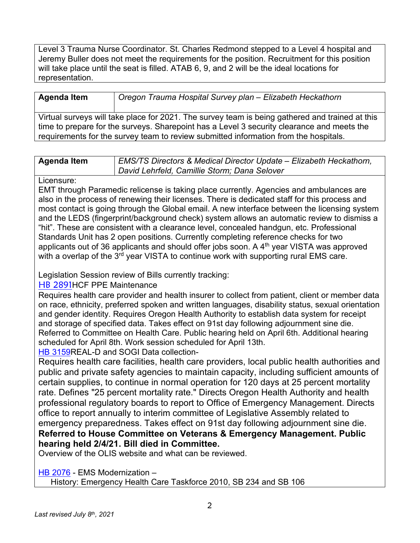Level 3 Trauma Nurse Coordinator. St. Charles Redmond stepped to a Level 4 hospital and Jeremy Buller does not meet the requirements for the position. Recruitment for this position will take place until the seat is filled. ATAB 6, 9, and 2 will be the ideal locations for representation.

| <b>Agenda Item</b>                                                                              | Oregon Trauma Hospital Survey plan - Elizabeth Heckathorn |
|-------------------------------------------------------------------------------------------------|-----------------------------------------------------------|
| Virtual surveys will take place for 2021. The survey team is being gathered and trained at this |                                                           |
| time to prepare for the surveys. Sharepoint has a Level 3 security clearance and meets the      |                                                           |
| requirements for the survey team to review submitted information from the hospitals.            |                                                           |

| <b>Agenda Item</b> | <b>EMS/TS Directors &amp; Medical Director Update - Elizabeth Heckathorn,</b> |
|--------------------|-------------------------------------------------------------------------------|

*David Lehrfeld, Camillie Storm; Dana Selover*

#### Licensure:

EMT through Paramedic relicense is taking place currently. Agencies and ambulances are also in the process of renewing their licenses. There is dedicated staff for this process and most contact is going through the Global email. A new interface between the licensing system and the LEDS (fingerprint/background check) system allows an automatic review to dismiss a "hit". These are consistent with a clearance level, concealed handgun, etc. Professional Standards Unit has 2 open positions. Currently completing reference checks for two applicants out of 36 applicants and should offer jobs soon. A  $4<sup>th</sup>$  year VISTA was approved with a overlap of the 3<sup>rd</sup> year VISTA to continue work with supporting rural EMS care.

## Legislation Session review of Bills currently tracking:

## [HB 2891](https://olis.oregonlegislature.gov/liz/2021R1/Downloads/MeasureDocument/HB2891/Introduced)HCF PPE Maintenance

Requires health care provider and health insurer to collect from patient, client or member data on race, ethnicity, preferred spoken and written languages, disability status, sexual orientation and gender identity. Requires Oregon Health Authority to establish data system for receipt and storage of specified data. Takes effect on 91st day following adjournment sine die. Referred to Committee on Health Care. Public hearing held on April 6th. Additional hearing scheduled for April 8th. Work session scheduled for April 13th.

## [HB 3159R](https://olis.oregonlegislature.gov/liz/2021R1/Downloads/MeasureDocument/HB3159/Introduced)EAL-D and SOGI Data collection-

Requires health care facilities, health care providers, local public health authorities and public and private safety agencies to maintain capacity, including sufficient amounts of certain supplies, to continue in normal operation for 120 days at 25 percent mortality rate. Defines "25 percent mortality rate." Directs Oregon Health Authority and health professional regulatory boards to report to Office of Emergency Management. Directs office to report annually to interim committee of Legislative Assembly related to emergency preparedness. Takes effect on 91st day following adjournment sine die. **Referred to House Committee on Veterans & Emergency Management. Public hearing held 2/4/21. Bill died in Committee.**

Overview of the OLIS website and what can be reviewed.

[HB 2076](https://olis.oregonlegislature.gov/liz/2021R1/Downloads/MeasureDocument/HB2076/Introduced) - EMS Modernization –

History: Emergency Health Care Taskforce 2010, SB 234 and SB 106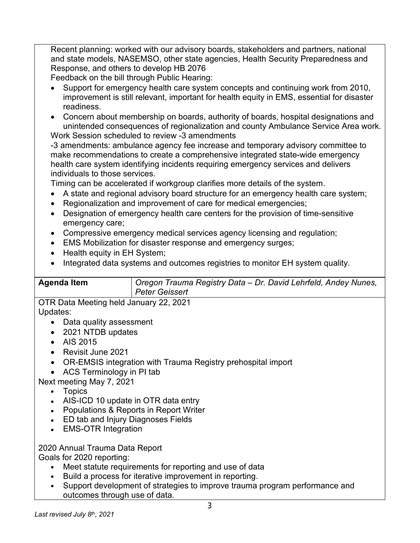Recent planning: worked with our advisory boards, stakeholders and partners, national and state models, NASEMSO, other state agencies, Health Security Preparedness and Response, and others to develop HB 2076

Feedback on the bill through Public Hearing:

- Support for emergency health care system concepts and continuing work from 2010, improvement is still relevant, important for health equity in EMS, essential for disaster readiness.
- Concern about membership on boards, authority of boards, hospital designations and unintended consequences of regionalization and county Ambulance Service Area work.

Work Session scheduled to review -3 amendments

-3 amendments: ambulance agency fee increase and temporary advisory committee to make recommendations to create a comprehensive integrated state-wide emergency health care system identifying incidents requiring emergency services and delivers individuals to those services.

Timing can be accelerated if workgroup clarifies more details of the system.

- A state and regional advisory board structure for an emergency health care system;
- Regionalization and improvement of care for medical emergencies;
- Designation of emergency health care centers for the provision of time-sensitive emergency care;
- Compressive emergency medical services agency licensing and regulation;
- EMS Mobilization for disaster response and emergency surges;
- Health equity in EH System;
- Integrated data systems and outcomes registries to monitor EH system quality.

| <b>Peter Geissert</b> | <sup>1</sup> Oregon Trauma Registry Data – Dr. David Lehrfeld, Andey Nunes,<br><b>Agenda Item</b> |
|-----------------------|---------------------------------------------------------------------------------------------------|
|-----------------------|---------------------------------------------------------------------------------------------------|

OTR Data Meeting held January 22, 2021 Updates:

- Data quality assessment
- 2021 NTDB updates
- AIS 2015
- Revisit June 2021
- OR-EMSIS integration with Trauma Registry prehospital import
- ACS Terminology in PI tab

Next meeting May 7, 2021

- Topics
- AIS-ICD 10 update in OTR data entry
- Populations & Reports in Report Writer
- ED tab and Injury Diagnoses Fields
- EMS-OTR Integration

# 2020 Annual Trauma Data Report

Goals for 2020 reporting:

- Meet statute requirements for reporting and use of data
- Build a process for iterative improvement in reporting.
- Support development of strategies to improve trauma program performance and outcomes through use of data.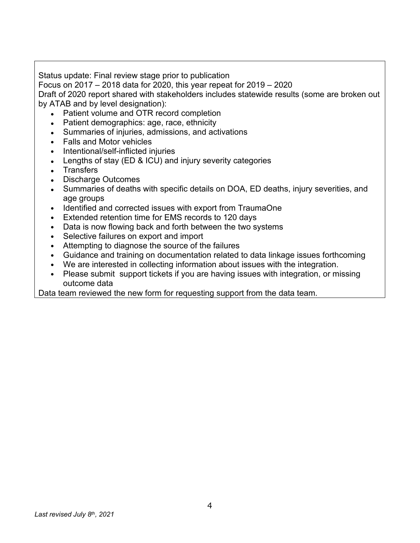Status update: Final review stage prior to publication

Focus on 2017 – 2018 data for 2020, this year repeat for 2019 – 2020

Draft of 2020 report shared with stakeholders includes statewide results (some are broken out by ATAB and by level designation):

- Patient volume and OTR record completion
- Patient demographics: age, race, ethnicity
- Summaries of injuries, admissions, and activations
- Falls and Motor vehicles
- Intentional/self-inflicted injuries
- Lengths of stay (ED & ICU) and injury severity categories
- Transfers
- Discharge Outcomes
- Summaries of deaths with specific details on DOA, ED deaths, injury severities, and age groups
- Identified and corrected issues with export from TraumaOne
- Extended retention time for EMS records to 120 days
- Data is now flowing back and forth between the two systems
- Selective failures on export and import
- Attempting to diagnose the source of the failures
- Guidance and training on documentation related to data linkage issues forthcoming
- We are interested in collecting information about issues with the integration.
- Please submit support tickets if you are having issues with integration, or missing outcome data

Data team reviewed the new form for requesting support from the data team.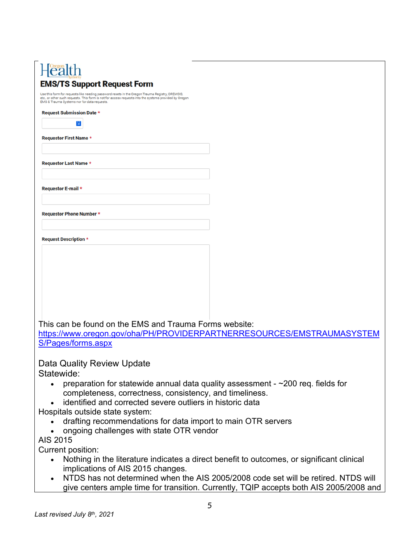# Health **EMS/TS Support Request Form**

Use this form for requests like needing password resets in the Oregon Trauma Registry, OREMSIS,

| . <b>.</b><br>EMS & Trauma Systems nor for data requests.              |  |  |
|------------------------------------------------------------------------|--|--|
| Request Submission Date *                                              |  |  |
| äi                                                                     |  |  |
| Requestor First Name *                                                 |  |  |
|                                                                        |  |  |
| Requestor Last Name *                                                  |  |  |
|                                                                        |  |  |
| Requestor E-mail *                                                     |  |  |
|                                                                        |  |  |
| Requestor Phone Number *                                               |  |  |
|                                                                        |  |  |
| <b>Request Description *</b>                                           |  |  |
|                                                                        |  |  |
|                                                                        |  |  |
|                                                                        |  |  |
|                                                                        |  |  |
|                                                                        |  |  |
|                                                                        |  |  |
|                                                                        |  |  |
| This can be found on the EMS and Trauma Forms website:                 |  |  |
| https://www.oregon.gov/oha/PH/PROVIDERPARTNERRESOURCES/EMSTRAUMASYSTEM |  |  |

[S/Pages/forms.aspx](https://www.oregon.gov/oha/PH/PROVIDERPARTNERRESOURCES/EMSTRAUMASYSTEMS/Pages/forms.aspx)

Data Quality Review Update

Statewide:

- preparation for statewide annual data quality assessment  $\sim$  200 req. fields for completeness, correctness, consistency, and timeliness.
- identified and corrected severe outliers in historic data

Hospitals outside state system:

- drafting recommendations for data import to main OTR servers
- ongoing challenges with state OTR vendor

AIS 2015

Current position:

- Nothing in the literature indicates a direct benefit to outcomes, or significant clinical implications of AIS 2015 changes.
- NTDS has not determined when the AIS 2005/2008 code set will be retired. NTDS will give centers ample time for transition. Currently, TQIP accepts both AIS 2005/2008 and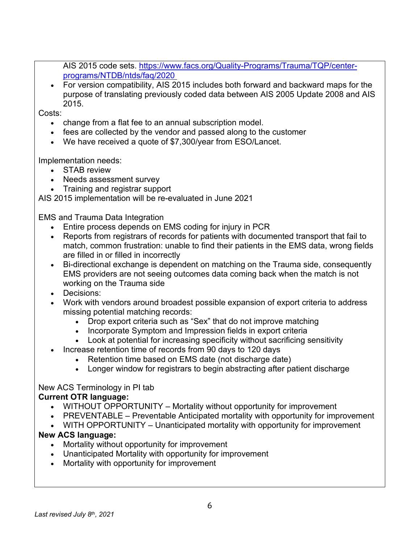AIS 2015 code sets. [https://www.facs.org/Quality-Programs/Trauma/TQP/center](https://www.facs.org/Quality-Programs/Trauma/TQP/center-programs/NTDB/ntds/faq/2020)[programs/NTDB/ntds/faq/2020](https://www.facs.org/Quality-Programs/Trauma/TQP/center-programs/NTDB/ntds/faq/2020)

• For version compatibility, AIS 2015 includes both forward and backward maps for the purpose of translating previously coded data between AIS 2005 Update 2008 and AIS 2015.

Costs:

- change from a flat fee to an annual subscription model.
- fees are collected by the vendor and passed along to the customer
- We have received a quote of \$7,300/year from ESO/Lancet.

Implementation needs:

- **STAB** review
- Needs assessment survey
- Training and registrar support

AIS 2015 implementation will be re-evaluated in June 2021

EMS and Trauma Data Integration

- Entire process depends on EMS coding for injury in PCR
- Reports from registrars of records for patients with documented transport that fail to match, common frustration: unable to find their patients in the EMS data, wrong fields are filled in or filled in incorrectly
- Bi-directional exchange is dependent on matching on the Trauma side, consequently EMS providers are not seeing outcomes data coming back when the match is not working on the Trauma side
- Decisions:
- Work with vendors around broadest possible expansion of export criteria to address missing potential matching records:
	- Drop export criteria such as "Sex" that do not improve matching
	- Incorporate Symptom and Impression fields in export criteria
	- Look at potential for increasing specificity without sacrificing sensitivity
- Increase retention time of records from 90 days to 120 days
	- Retention time based on EMS date (not discharge date)
	- Longer window for registrars to begin abstracting after patient discharge

# New ACS Terminology in PI tab

## **Current OTR language:**

- WITHOUT OPPORTUNITY Mortality without opportunity for improvement
- PREVENTABLE Preventable Anticipated mortality with opportunity for improvement
- WITH OPPORTUNITY Unanticipated mortality with opportunity for improvement

## **New ACS language:**

- Mortality without opportunity for improvement
- Unanticipated Mortality with opportunity for improvement
- Mortality with opportunity for improvement